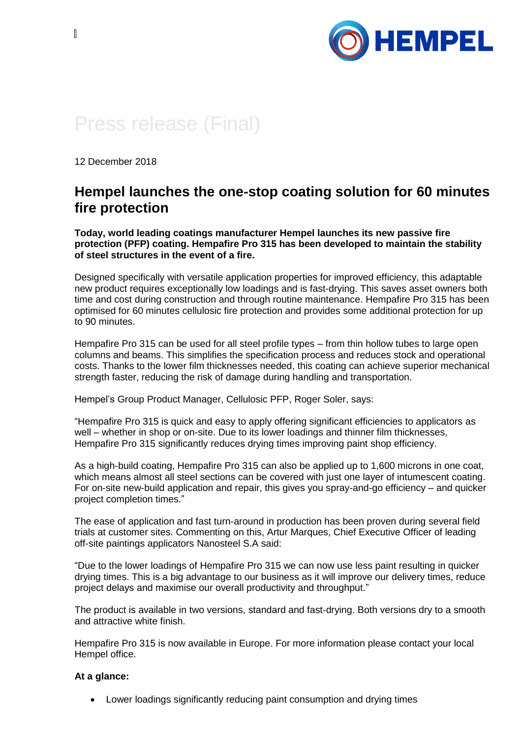

## Press release (Final)

12 December 2018

## **Hempel launches the one-stop coating solution for 60 minutes fire protection**

**Today, world leading coatings manufacturer Hempel launches its new passive fire protection (PFP) coating. Hempafire Pro 315 has been developed to maintain the stability of steel structures in the event of a fire.**

Designed specifically with versatile application properties for improved efficiency, this adaptable new product requires exceptionally low loadings and is fast-drying. This saves asset owners both time and cost during construction and through routine maintenance. Hempafire Pro 315 has been optimised for 60 minutes cellulosic fire protection and provides some additional protection for up to 90 minutes.

Hempafire Pro 315 can be used for all steel profile types – from thin hollow tubes to large open columns and beams. This simplifies the specification process and reduces stock and operational costs. Thanks to the lower film thicknesses needed, this coating can achieve superior mechanical strength faster, reducing the risk of damage during handling and transportation.

Hempel's Group Product Manager, Cellulosic PFP, Roger Soler, says:

"Hempafire Pro 315 is quick and easy to apply offering significant efficiencies to applicators as well – whether in shop or on-site. Due to its lower loadings and thinner film thicknesses, Hempafire Pro 315 significantly reduces drying times improving paint shop efficiency.

As a high-build coating, Hempafire Pro 315 can also be applied up to 1,600 microns in one coat, which means almost all steel sections can be covered with just one layer of intumescent coating. For on-site new-build application and repair, this gives you spray-and-go efficiency – and quicker project completion times."

The ease of application and fast turn-around in production has been proven during several field trials at customer sites. Commenting on this, Artur Marques, Chief Executive Officer of leading off-site paintings applicators Nanosteel S.A said:

"Due to the lower loadings of Hempafire Pro 315 we can now use less paint resulting in quicker drying times. This is a big advantage to our business as it will improve our delivery times, reduce project delays and maximise our overall productivity and throughput."

The product is available in two versions, standard and fast-drying. Both versions dry to a smooth and attractive white finish.

Hempafire Pro 315 is now available in Europe. For more information please contact your local Hempel office.

## **At a glance:**

• Lower loadings significantly reducing paint consumption and drying times